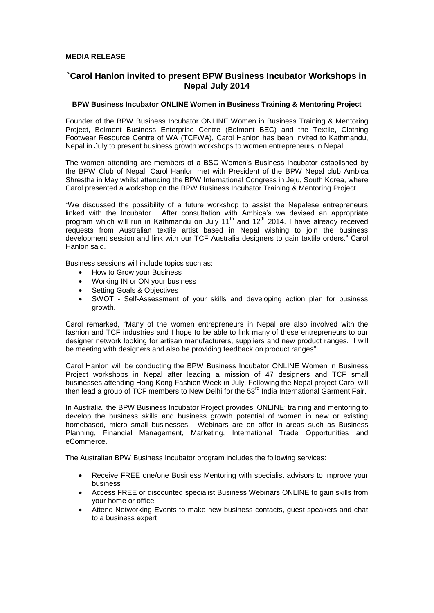# **MEDIA RELEASE**

# **`Carol Hanlon invited to present BPW Business Incubator Workshops in Nepal July 2014**

### **BPW Business Incubator ONLINE Women in Business Training & Mentoring Project**

Founder of the BPW Business Incubator ONLINE Women in Business Training & Mentoring Project, Belmont Business Enterprise Centre (Belmont BEC) and the Textile, Clothing Footwear Resource Centre of WA (TCFWA), Carol Hanlon has been invited to Kathmandu, Nepal in July to present business growth workshops to women entrepreneurs in Nepal.

The women attending are members of a BSC Women's Business Incubator established by the BPW Club of Nepal. Carol Hanlon met with President of the BPW Nepal club Ambica Shrestha in May whilst attending the BPW International Congress in Jeju, South Korea, where Carol presented a workshop on the BPW Business Incubator Training & Mentoring Project.

"We discussed the possibility of a future workshop to assist the Nepalese entrepreneurs linked with the Incubator. After consultation with Ambica's we devised an appropriate program which will run in Kathmandu on July 11<sup>th</sup> and 12<sup>th</sup> 2014. I have already received requests from Australian textile artist based in Nepal wishing to join the business development session and link with our TCF Australia designers to gain textile orders." Carol Hanlon said.

Business sessions will include topics such as:

- How to Grow your Business<br>• Working IN or ON your busin
- Working IN or ON your business
- Setting Goals & Objectives
- SWOT Self-Assessment of your skills and developing action plan for business growth.

Carol remarked, "Many of the women entrepreneurs in Nepal are also involved with the fashion and TCF industries and I hope to be able to link many of these entrepreneurs to our designer network looking for artisan manufacturers, suppliers and new product ranges. I will be meeting with designers and also be providing feedback on product ranges".

Carol Hanlon will be conducting the BPW Business Incubator ONLINE Women in Business Project workshops in Nepal after leading a mission of 47 designers and TCF small businesses attending Hong Kong Fashion Week in July. Following the Nepal project Carol will then lead a group of TCF members to New Delhi for the 53<sup>rd</sup> India International Garment Fair.

In Australia, the BPW Business Incubator Project provides 'ONLINE' training and mentoring to develop the business skills and business growth potential of women in new or existing homebased, micro small businesses. Webinars are on offer in areas such as Business Planning, Financial Management, Marketing, International Trade Opportunities and eCommerce.

The Australian BPW Business Incubator program includes the following services:

- Receive FREE one/one Business Mentoring with specialist advisors to improve your business
- Access FREE or discounted specialist Business Webinars ONLINE to gain skills from your home or office
- Attend Networking Events to make new business contacts, guest speakers and chat to a business expert